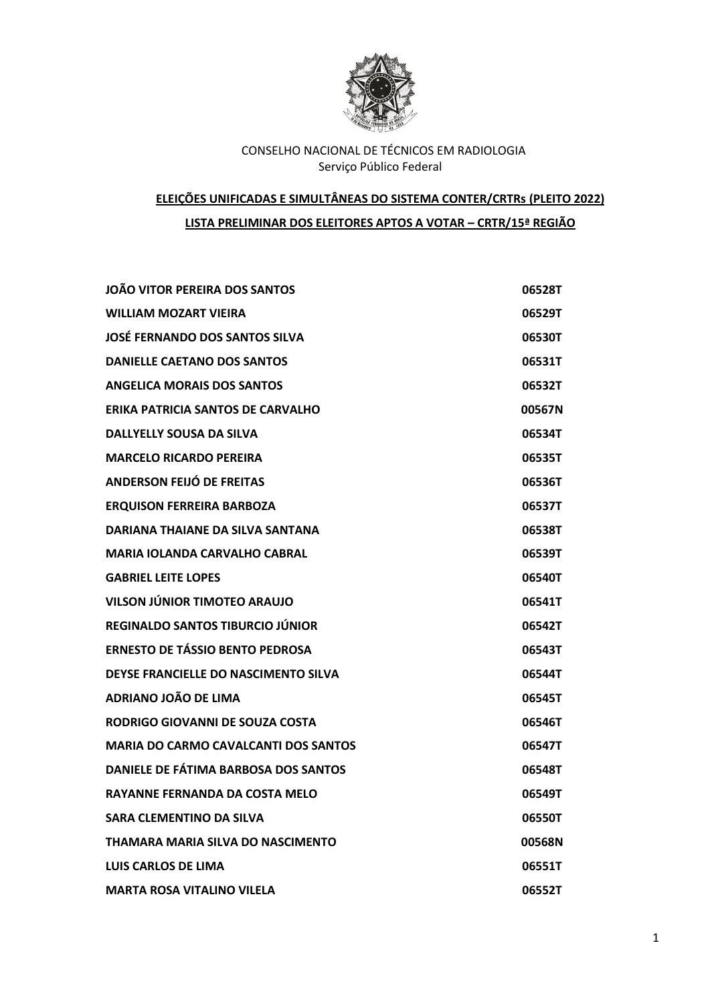

# **ELEIÇÕES UNIFICADAS E SIMULTÂNEAS DO SISTEMA CONTER/CRTRs (PLEITO 2022) LISTA PRELIMINAR DOS ELEITORES APTOS A VOTAR – CRTR/15ª REGIÃO**

| JOÃO VITOR PEREIRA DOS SANTOS               | 06528T |
|---------------------------------------------|--------|
| <b>WILLIAM MOZART VIEIRA</b>                | 06529T |
| JOSĖ FERNANDO DOS SANTOS SILVA              | 06530T |
| <b>DANIELLE CAETANO DOS SANTOS</b>          | 06531T |
| <b>ANGELICA MORAIS DOS SANTOS</b>           | 06532T |
| ERIKA PATRICIA SANTOS DE CARVALHO           | 00567N |
| <b>DALLYELLY SOUSA DA SILVA</b>             | 06534T |
| <b>MARCELO RICARDO PEREIRA</b>              | 06535T |
| ANDERSON FEIJÓ DE FREITAS                   | 06536T |
| <b>ERQUISON FERREIRA BARBOZA</b>            | 06537T |
| DARIANA THAIANE DA SILVA SANTANA            | 06538T |
| <b>MARIA IOLANDA CARVALHO CABRAL</b>        | 06539T |
| <b>GABRIEL LEITE LOPES</b>                  | 06540T |
| VILSON JÚNIOR TIMOTEO ARAUJO                | 06541T |
| REGINALDO SANTOS TIBURCIO JÚNIOR            | 06542T |
| <b>ERNESTO DE TÁSSIO BENTO PEDROSA</b>      | 06543T |
| DEYSE FRANCIELLE DO NASCIMENTO SILVA        | 06544T |
| ADRIANO JOÃO DE LIMA                        | 06545T |
| RODRIGO GIOVANNI DE SOUZA COSTA             | 06546T |
| <b>MARIA DO CARMO CAVALCANTI DOS SANTOS</b> | 06547T |
| DANIELE DE FÁTIMA BARBOSA DOS SANTOS        | 06548T |
| <b>RAYANNE FERNANDA DA COSTA MELO</b>       | 06549T |
| SARA CLEMENTINO DA SILVA                    | 06550T |
| THAMARA MARIA SILVA DO NASCIMENTO           | 00568N |
| LUIS CARLOS DE LIMA                         | 06551T |
| <b>MARTA ROSA VITALINO VILELA</b>           | 06552T |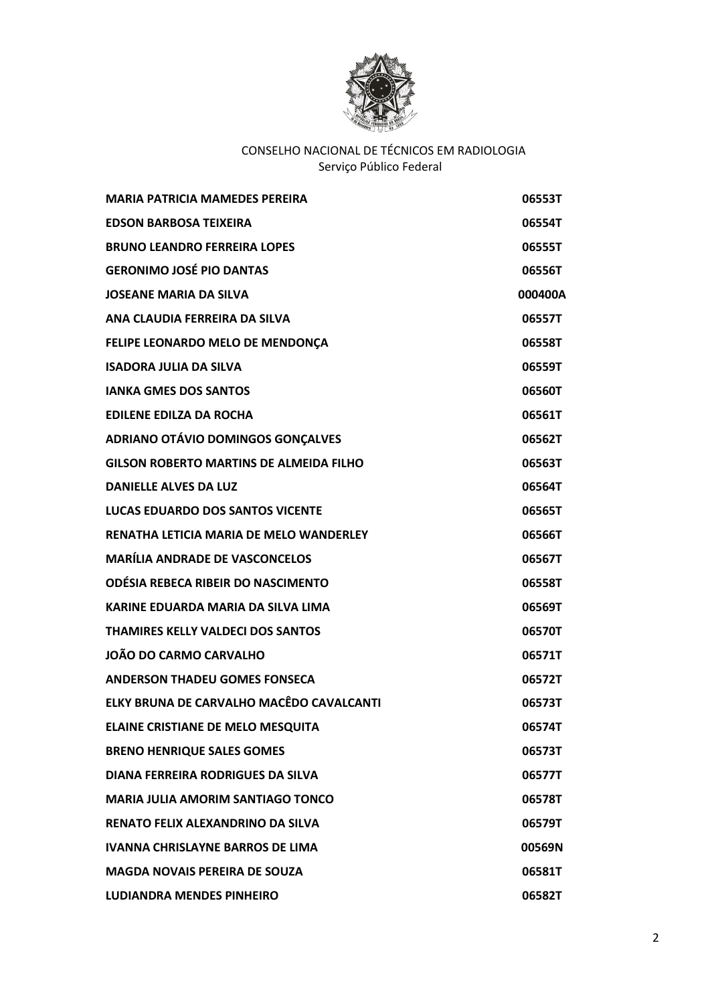

| <b>MARIA PATRICIA MAMEDES PEREIRA</b>          | 06553T  |
|------------------------------------------------|---------|
| <b>EDSON BARBOSA TEIXEIRA</b>                  | 06554T  |
| <b>BRUNO LEANDRO FERREIRA LOPES</b>            | 06555T  |
| <b>GERONIMO JOSÉ PIO DANTAS</b>                | 06556T  |
| <b>JOSEANE MARIA DA SILVA</b>                  | 000400A |
| ANA CLAUDIA FERREIRA DA SILVA                  | 06557T  |
| FELIPE LEONARDO MELO DE MENDONÇA               | 06558T  |
| <b>ISADORA JULIA DA SILVA</b>                  | 06559T  |
| <b>IANKA GMES DOS SANTOS</b>                   | 06560T  |
| <b>EDILENE EDILZA DA ROCHA</b>                 | 06561T  |
| ADRIANO OTÁVIO DOMINGOS GONÇALVES              | 06562T  |
| <b>GILSON ROBERTO MARTINS DE ALMEIDA FILHO</b> | 06563T  |
| <b>DANIELLE ALVES DA LUZ</b>                   | 06564T  |
| <b>LUCAS EDUARDO DOS SANTOS VICENTE</b>        | 06565T  |
| RENATHA LETICIA MARIA DE MELO WANDERLEY        | 06566T  |
| <b>MARÍLIA ANDRADE DE VASCONCELOS</b>          | 06567T  |
| ODÉSIA REBECA RIBEIR DO NASCIMENTO             | 06558T  |
| KARINE EDUARDA MARIA DA SILVA LIMA             | 06569T  |
| THAMIRES KELLY VALDECI DOS SANTOS              | 06570T  |
| JOÃO DO CARMO CARVALHO                         | 06571T  |
| <b>ANDERSON THADEU GOMES FONSECA</b>           | 06572T  |
| ELKY BRUNA DE CARVALHO MACÊDO CAVALCANTI       | 06573T  |
| <b>ELAINE CRISTIANE DE MELO MESQUITA</b>       | 06574T  |
| <b>BRENO HENRIQUE SALES GOMES</b>              | 06573T  |
| DIANA FERREIRA RODRIGUES DA SILVA              | 06577T  |
| <b>MARIA JULIA AMORIM SANTIAGO TONCO</b>       | 06578T  |
| <b>RENATO FELIX ALEXANDRINO DA SILVA</b>       | 06579T  |
| <b>IVANNA CHRISLAYNE BARROS DE LIMA</b>        | 00569N  |
| <b>MAGDA NOVAIS PEREIRA DE SOUZA</b>           | 06581T  |
| <b>LUDIANDRA MENDES PINHEIRO</b>               | 06582T  |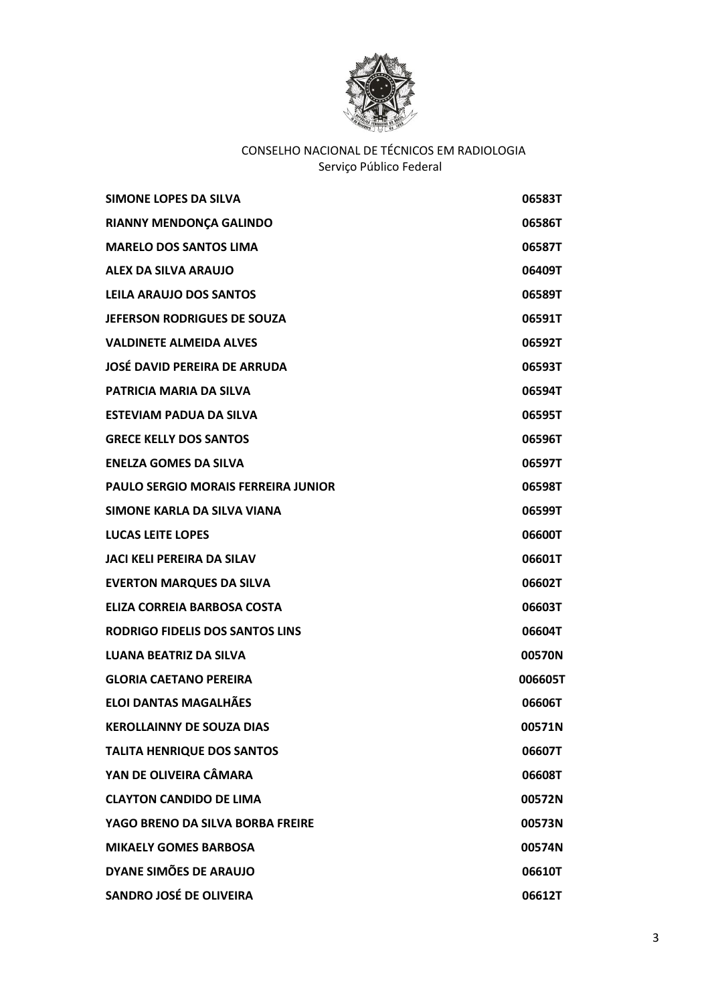

| <b>SIMONE LOPES DA SILVA</b>               | 06583T  |
|--------------------------------------------|---------|
| <b>RIANNY MENDONÇA GALINDO</b>             | 06586T  |
| <b>MARELO DOS SANTOS LIMA</b>              | 06587T  |
| ALEX DA SILVA ARAUJO                       | 06409T  |
| <b>LEILA ARAUJO DOS SANTOS</b>             | 06589T  |
| <b>JEFERSON RODRIGUES DE SOUZA</b>         | 06591T  |
| <b>VALDINETE ALMEIDA ALVES</b>             | 06592T  |
| <b>JOSÉ DAVID PEREIRA DE ARRUDA</b>        | 06593T  |
| <b>PATRICIA MARIA DA SILVA</b>             | 06594T  |
| <b>ESTEVIAM PADUA DA SILVA</b>             | 06595T  |
| <b>GRECE KELLY DOS SANTOS</b>              | 06596T  |
| <b>ENELZA GOMES DA SILVA</b>               | 06597T  |
| <b>PAULO SERGIO MORAIS FERREIRA JUNIOR</b> | 06598T  |
| SIMONE KARLA DA SILVA VIANA                | 06599T  |
| <b>LUCAS LEITE LOPES</b>                   | 06600T  |
| <b>JACI KELI PEREIRA DA SILAV</b>          | 06601T  |
| <b>EVERTON MARQUES DA SILVA</b>            | 06602T  |
| ELIZA CORREIA BARBOSA COSTA                | 06603T  |
| <b>RODRIGO FIDELIS DOS SANTOS LINS</b>     | 06604T  |
| <b>LUANA BEATRIZ DA SILVA</b>              | 00570N  |
| <b>GLORIA CAETANO PEREIRA</b>              | 006605T |
| <b>ELOI DANTAS MAGALHÃES</b>               | 06606T  |
| KEROLLAINNY DE SOUZA DIAS                  | 00571N  |
| <b>TALITA HENRIQUE DOS SANTOS</b>          | 06607T  |
| YAN DE OLIVEIRA CÂMARA                     | 06608T  |
| <b>CLAYTON CANDIDO DE LIMA</b>             | 00572N  |
| YAGO BRENO DA SILVA BORBA FREIRE           | 00573N  |
| <b>MIKAELY GOMES BARBOSA</b>               | 00574N  |
| DYANE SIMÕES DE ARAUJO                     | 06610T  |
| <b>SANDRO JOSÉ DE OLIVEIRA</b>             | 06612T  |